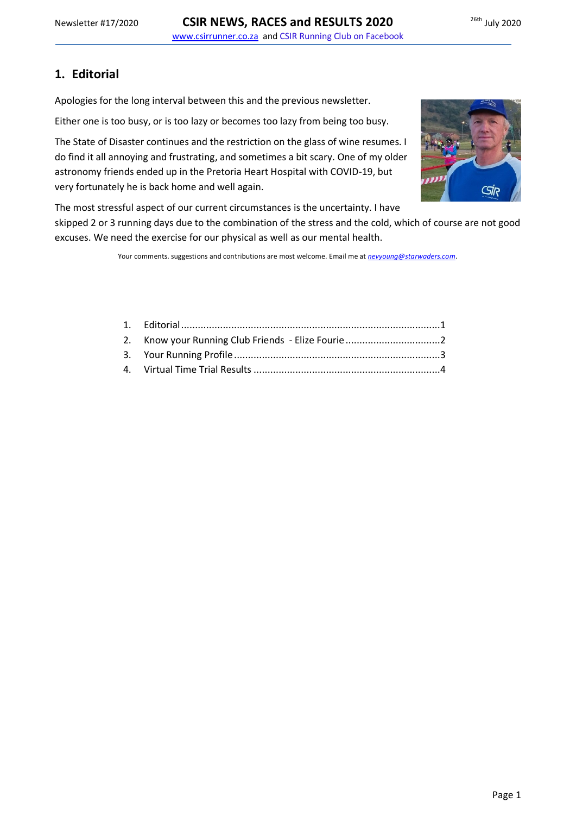## <span id="page-0-0"></span>**1. Editorial**

Apologies for the long interval between this and the previous newsletter.

Either one is too busy, or is too lazy or becomes too lazy from being too busy.

The State of Disaster continues and the restriction on the glass of wine resumes. I do find it all annoying and frustrating, and sometimes a bit scary. One of my older astronomy friends ended up in the Pretoria Heart Hospital with COVID-19, but very fortunately he is back home and well again.



The most stressful aspect of our current circumstances is the uncertainty. I have

skipped 2 or 3 running days due to the combination of the stress and the cold, which of course are not good excuses. We need the exercise for our physical as well as our mental health.

Your comments. suggestions and contributions are most welcome. Email me at *[nevyoung@starwaders.com](mailto:nevyoung@starwaders.com)*.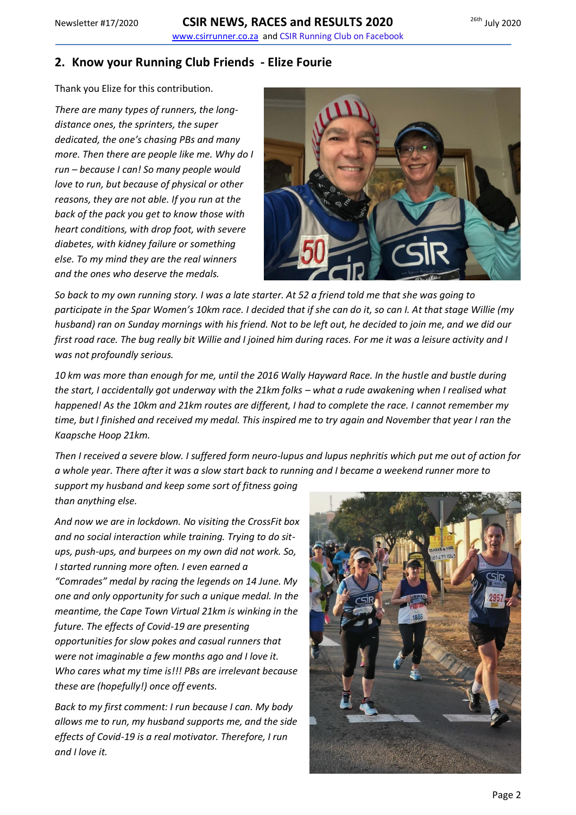<span id="page-1-0"></span>**2. Know your Running Club Friends - Elize Fourie**

Thank you Elize for this contribution.

*There are many types of runners, the longdistance ones, the sprinters, the super dedicated, the one's chasing PBs and many more. Then there are people like me. Why do I run – because I can! So many people would love to run, but because of physical or other reasons, they are not able. If you run at the back of the pack you get to know those with heart conditions, with drop foot, with severe diabetes, with kidney failure or something else. To my mind they are the real winners and the ones who deserve the medals.*



*So back to my own running story. I was a late starter. At 52 a friend told me that she was going to participate in the Spar Women's 10km race. I decided that if she can do it, so can I. At that stage Willie (my husband) ran on Sunday mornings with his friend. Not to be left out, he decided to join me, and we did our first road race. The bug really bit Willie and I joined him during races. For me it was a leisure activity and I was not profoundly serious.* 

*10 km was more than enough for me, until the 2016 Wally Hayward Race. In the hustle and bustle during the start, I accidentally got underway with the 21km folks – what a rude awakening when I realised what happened! As the 10km and 21km routes are different, I had to complete the race. I cannot remember my time, but I finished and received my medal. This inspired me to try again and November that year I ran the Kaapsche Hoop 21km.* 

*Then I received a severe blow. I suffered form neuro-lupus and lupus nephritis which put me out of action for a whole year. There after it was a slow start back to running and I became a weekend runner more to* 

*support my husband and keep some sort of fitness going than anything else.* 

*And now we are in lockdown. No visiting the CrossFit box and no social interaction while training. Trying to do situps, push-ups, and burpees on my own did not work. So, I started running more often. I even earned a "Comrades" medal by racing the legends on 14 June. My one and only opportunity for such a unique medal. In the meantime, the Cape Town Virtual 21km is winking in the future. The effects of Covid-19 are presenting opportunities for slow pokes and casual runners that were not imaginable a few months ago and I love it. Who cares what my time is!!! PBs are irrelevant because these are (hopefully!) once off events.*

*Back to my first comment: I run because I can. My body allows me to run, my husband supports me, and the side effects of Covid-19 is a real motivator. Therefore, I run and I love it.*

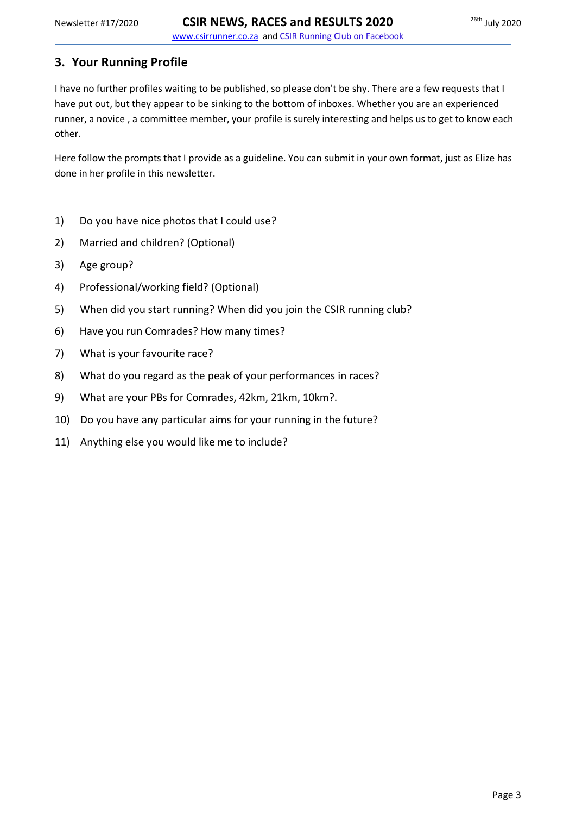### <span id="page-2-0"></span>**3. Your Running Profile**

I have no further profiles waiting to be published, so please don't be shy. There are a few requests that I have put out, but they appear to be sinking to the bottom of inboxes. Whether you are an experienced runner, a novice , a committee member, your profile is surely interesting and helps us to get to know each other.

Here follow the prompts that I provide as a guideline. You can submit in your own format, just as Elize has done in her profile in this newsletter.

- 1) Do you have nice photos that I could use?
- 2) Married and children? (Optional)
- 3) Age group?
- 4) Professional/working field? (Optional)
- 5) When did you start running? When did you join the CSIR running club?
- 6) Have you run Comrades? How many times?
- 7) What is your favourite race?
- 8) What do you regard as the peak of your performances in races?
- 9) What are your PBs for Comrades, 42km, 21km, 10km?.
- 10) Do you have any particular aims for your running in the future?
- 11) Anything else you would like me to include?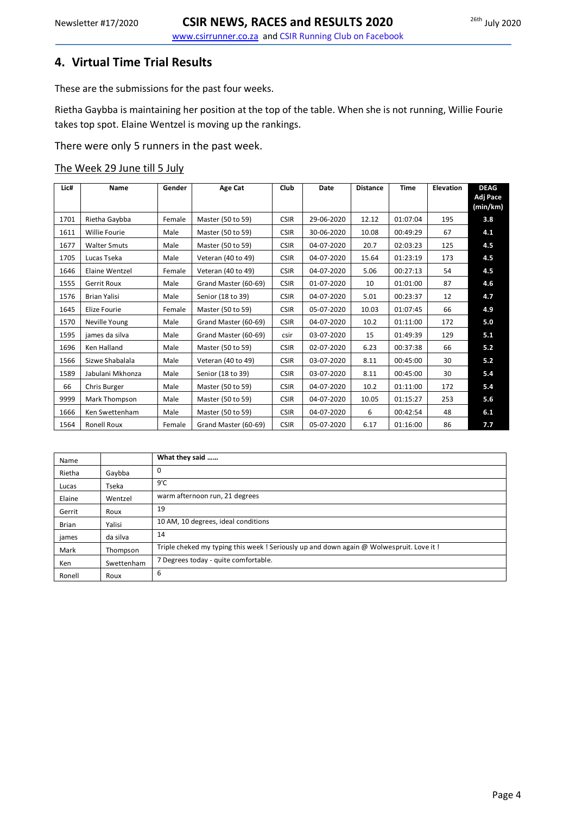<span id="page-3-0"></span>These are the submissions for the past four weeks.

Rietha Gaybba is maintaining her position at the top of the table. When she is not running, Willie Fourie takes top spot. Elaine Wentzel is moving up the rankings.

There were only 5 runners in the past week.

#### The Week 29 June till 5 July

| Lic# | Name                 | Gender | Age Cat              | Club        | Date       | <b>Distance</b> | <b>Time</b> | <b>Elevation</b> | <b>DEAG</b><br>Adj Pace<br>(min/km) |
|------|----------------------|--------|----------------------|-------------|------------|-----------------|-------------|------------------|-------------------------------------|
| 1701 | Rietha Gaybba        | Female | Master (50 to 59)    | <b>CSIR</b> | 29-06-2020 | 12.12           | 01:07:04    | 195              | 3.8                                 |
| 1611 | <b>Willie Fourie</b> | Male   | Master (50 to 59)    | <b>CSIR</b> | 30-06-2020 | 10.08           | 00:49:29    | 67               | 4.1                                 |
| 1677 | <b>Walter Smuts</b>  | Male   | Master (50 to 59)    | <b>CSIR</b> | 04-07-2020 | 20.7            | 02:03:23    | 125              | 4.5                                 |
| 1705 | Lucas Tseka          | Male   | Veteran (40 to 49)   | <b>CSIR</b> | 04-07-2020 | 15.64           | 01:23:19    | 173              | 4.5                                 |
| 1646 | Elaine Wentzel       | Female | Veteran (40 to 49)   | <b>CSIR</b> | 04-07-2020 | 5.06            | 00:27:13    | 54               | 4.5                                 |
| 1555 | <b>Gerrit Roux</b>   | Male   | Grand Master (60-69) | <b>CSIR</b> | 01-07-2020 | 10              | 01:01:00    | 87               | 4.6                                 |
| 1576 | <b>Brian Yalisi</b>  | Male   | Senior (18 to 39)    | <b>CSIR</b> | 04-07-2020 | 5.01            | 00:23:37    | 12               | 4.7                                 |
| 1645 | Elize Fourie         | Female | Master (50 to 59)    | <b>CSIR</b> | 05-07-2020 | 10.03           | 01:07:45    | 66               | 4.9                                 |
| 1570 | Neville Young        | Male   | Grand Master (60-69) | <b>CSIR</b> | 04-07-2020 | 10.2            | 01:11:00    | 172              | 5.0                                 |
| 1595 | james da silva       | Male   | Grand Master (60-69) | csir        | 03-07-2020 | 15              | 01:49:39    | 129              | 5.1                                 |
| 1696 | <b>Ken Halland</b>   | Male   | Master (50 to 59)    | <b>CSIR</b> | 02-07-2020 | 6.23            | 00:37:38    | 66               | 5.2                                 |
| 1566 | Sizwe Shabalala      | Male   | Veteran (40 to 49)   | <b>CSIR</b> | 03-07-2020 | 8.11            | 00:45:00    | 30               | 5.2                                 |
| 1589 | Jabulani Mkhonza     | Male   | Senior (18 to 39)    | <b>CSIR</b> | 03-07-2020 | 8.11            | 00:45:00    | 30               | 5.4                                 |
| 66   | Chris Burger         | Male   | Master (50 to 59)    | <b>CSIR</b> | 04-07-2020 | 10.2            | 01:11:00    | 172              | 5.4                                 |
| 9999 | Mark Thompson        | Male   | Master (50 to 59)    | <b>CSIR</b> | 04-07-2020 | 10.05           | 01:15:27    | 253              | 5.6                                 |
| 1666 | Ken Swettenham       | Male   | Master (50 to 59)    | <b>CSIR</b> | 04-07-2020 | 6               | 00:42:54    | 48               | 6.1                                 |
| 1564 | <b>Ronell Roux</b>   | Female | Grand Master (60-69) | <b>CSIR</b> | 05-07-2020 | 6.17            | 01:16:00    | 86               | 7.7                                 |

| Name         |            | What they said                                                                           |
|--------------|------------|------------------------------------------------------------------------------------------|
| Rietha       | Gaybba     | 0                                                                                        |
| Lucas        | Tseka      | $9^{\circ}$ C                                                                            |
| Elaine       | Wentzel    | warm afternoon run, 21 degrees                                                           |
| Gerrit       | Roux       | 19                                                                                       |
| <b>Brian</b> | Yalisi     | 10 AM, 10 degrees, ideal conditions                                                      |
| james        | da silva   | 14                                                                                       |
| Mark         | Thompson   | Triple cheked my typing this week ! Seriously up and down again @ Wolwespruit. Love it ! |
| <b>Ken</b>   | Swettenham | 7 Degrees today - quite comfortable.                                                     |
| Ronell       | Roux       | 6                                                                                        |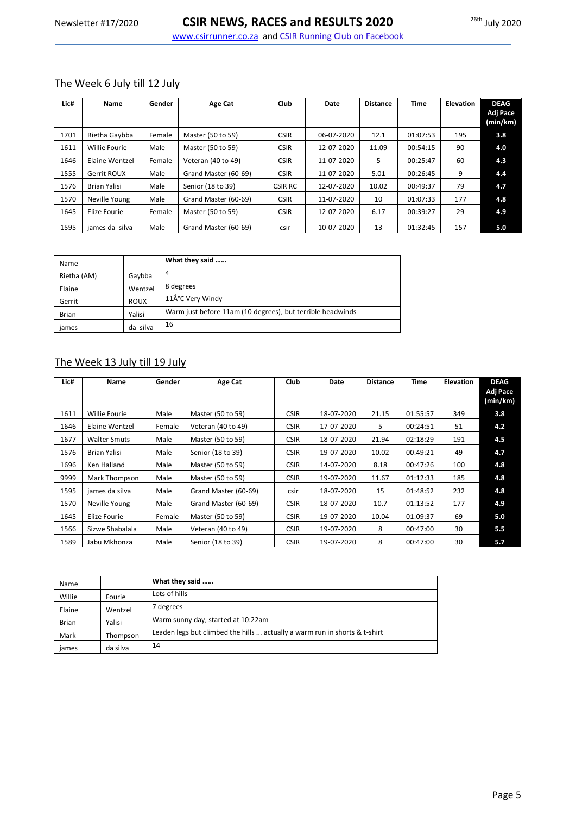#### The Week 6 July till 12 July

| Lic# | <b>Name</b>          | Gender | Age Cat              | <b>Club</b>    | Date       | <b>Distance</b> | <b>Time</b> | <b>Elevation</b> | <b>DEAG</b><br>Adj Pace<br>(min/km) |
|------|----------------------|--------|----------------------|----------------|------------|-----------------|-------------|------------------|-------------------------------------|
| 1701 | Rietha Gaybba        | Female | Master (50 to 59)    | <b>CSIR</b>    | 06-07-2020 | 12.1            | 01:07:53    | 195              | 3.8                                 |
| 1611 | <b>Willie Fourie</b> | Male   | Master (50 to 59)    | <b>CSIR</b>    | 12-07-2020 | 11.09           | 00:54:15    | 90               | 4.0                                 |
| 1646 | Elaine Wentzel       | Female | Veteran (40 to 49)   | <b>CSIR</b>    | 11-07-2020 | 5               | 00:25:47    | 60               | 4.3                                 |
| 1555 | Gerrit ROUX          | Male   | Grand Master (60-69) | <b>CSIR</b>    | 11-07-2020 | 5.01            | 00:26:45    | 9                | 4.4                                 |
| 1576 | <b>Brian Yalisi</b>  | Male   | Senior (18 to 39)    | <b>CSIR RC</b> | 12-07-2020 | 10.02           | 00:49:37    | 79               | 4.7                                 |
| 1570 | Neville Young        | Male   | Grand Master (60-69) | <b>CSIR</b>    | 11-07-2020 | 10              | 01:07:33    | 177              | 4.8                                 |
| 1645 | Elize Fourie         | Female | Master (50 to 59)    | <b>CSIR</b>    | 12-07-2020 | 6.17            | 00:39:27    | 29               | 4.9                                 |
| 1595 | james da silva       | Male   | Grand Master (60-69) | csir           | 10-07-2020 | 13              | 01:32:45    | 157              | 5.0                                 |

| Name         |             | What they said                                             |
|--------------|-------------|------------------------------------------------------------|
| Rietha (AM)  | Gaybba      | 4                                                          |
| Elaine       | Wentzel     | 8 degrees                                                  |
| Gerrit       | <b>ROUX</b> | 11°C Very Windy                                            |
| <b>Brian</b> | Yalisi      | Warm just before 11am (10 degrees), but terrible headwinds |
| james        | da silva    | 16                                                         |

### The Week 13 July till 19 July

| Lic# | Name                 | Gender | Age Cat              | <b>Club</b> | Date       | <b>Distance</b> | Time     | <b>Elevation</b> | <b>DEAG</b><br>Adj Pace<br>(min/km) |
|------|----------------------|--------|----------------------|-------------|------------|-----------------|----------|------------------|-------------------------------------|
| 1611 | <b>Willie Fourie</b> | Male   | Master (50 to 59)    | <b>CSIR</b> | 18-07-2020 | 21.15           | 01:55:57 | 349              | 3.8                                 |
| 1646 | Elaine Wentzel       | Female | Veteran (40 to 49)   | <b>CSIR</b> | 17-07-2020 | 5               | 00:24:51 | 51               | 4.2                                 |
| 1677 | <b>Walter Smuts</b>  | Male   | Master (50 to 59)    | <b>CSIR</b> | 18-07-2020 | 21.94           | 02:18:29 | 191              | 4.5                                 |
| 1576 | Brian Yalisi         | Male   | Senior (18 to 39)    | <b>CSIR</b> | 19-07-2020 | 10.02           | 00:49:21 | 49               | 4.7                                 |
| 1696 | Ken Halland          | Male   | Master (50 to 59)    | <b>CSIR</b> | 14-07-2020 | 8.18            | 00:47:26 | 100              | 4.8                                 |
| 9999 | Mark Thompson        | Male   | Master (50 to 59)    | <b>CSIR</b> | 19-07-2020 | 11.67           | 01:12:33 | 185              | 4.8                                 |
| 1595 | james da silva       | Male   | Grand Master (60-69) | csir        | 18-07-2020 | 15              | 01:48:52 | 232              | 4.8                                 |
| 1570 | Neville Young        | Male   | Grand Master (60-69) | <b>CSIR</b> | 18-07-2020 | 10.7            | 01:13:52 | 177              | 4.9                                 |
| 1645 | Elize Fourie         | Female | Master (50 to 59)    | <b>CSIR</b> | 19-07-2020 | 10.04           | 01:09:37 | 69               | 5.0                                 |
| 1566 | Sizwe Shabalala      | Male   | Veteran (40 to 49)   | <b>CSIR</b> | 19-07-2020 | 8               | 00:47:00 | 30               | 5.5                                 |
| 1589 | Jabu Mkhonza         | Male   | Senior (18 to 39)    | <b>CSIR</b> | 19-07-2020 | 8               | 00:47:00 | 30               | 5.7                                 |

| Name         |          | What they said                                                                     |
|--------------|----------|------------------------------------------------------------------------------------|
| Willie       | Fourie   | Lots of hills                                                                      |
| Elaine       | Wentzel  | 7 degrees                                                                          |
| <b>Brian</b> | Yalisi   | Warm sunny day, started at 10:22am                                                 |
| Mark         | Thompson | Leaden legs but climbed the hills $\ldots$ actually a warm run in shorts & t-shirt |
| james        | da silva | 14                                                                                 |